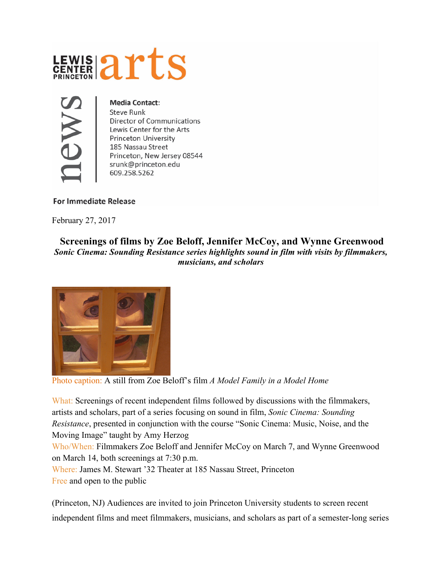



## **Media Contact:**

**Steve Runk Director of Communications** Lewis Center for the Arts **Princeton University** 185 Nassau Street Princeton, New Jersey 08544 srunk@princeton.edu 609.258.5262

## **For Immediate Release**

February 27, 2017

## **Screenings of films by Zoe Beloff, Jennifer McCoy, and Wynne Greenwood** *Sonic Cinema: Sounding Resistance series highlights sound in film with visits by filmmakers, musicians, and scholars*



Photo caption: A still from Zoe Beloff's film *A Model Family in a Model Home*

What: Screenings of recent independent films followed by discussions with the filmmakers, artists and scholars, part of a series focusing on sound in film, *Sonic Cinema: Sounding Resistance*, presented in conjunction with the course "Sonic Cinema: Music, Noise, and the Moving Image" taught by Amy Herzog

Who/When: Filmmakers Zoe Beloff and Jennifer McCoy on March 7, and Wynne Greenwood on March 14, both screenings at 7:30 p.m.

Where: James M. Stewart '32 Theater at 185 Nassau Street, Princeton Free and open to the public

(Princeton, NJ) Audiences are invited to join Princeton University students to screen recent independent films and meet filmmakers, musicians, and scholars as part of a semester-long series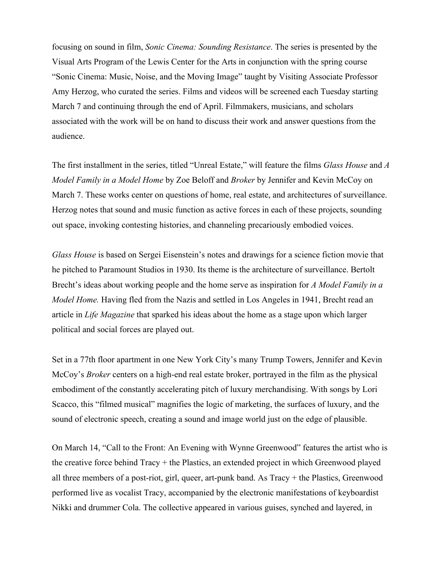focusing on sound in film, *Sonic Cinema: Sounding Resistance*. The series is presented by the Visual Arts Program of the Lewis Center for the Arts in conjunction with the spring course "Sonic Cinema: Music, Noise, and the Moving Image" taught by Visiting Associate Professor Amy Herzog, who curated the series. Films and videos will be screened each Tuesday starting March 7 and continuing through the end of April. Filmmakers, musicians, and scholars associated with the work will be on hand to discuss their work and answer questions from the audience.

The first installment in the series, titled "Unreal Estate," will feature the films *Glass House* and *A Model Family in a Model Home* by Zoe Beloff and *Broker* by Jennifer and Kevin McCoy on March 7. These works center on questions of home, real estate, and architectures of surveillance. Herzog notes that sound and music function as active forces in each of these projects, sounding out space, invoking contesting histories, and channeling precariously embodied voices.

*Glass House* is based on Sergei Eisenstein's notes and drawings for a science fiction movie that he pitched to Paramount Studios in 1930. Its theme is the architecture of surveillance. Bertolt Brecht's ideas about working people and the home serve as inspiration for *A Model Family in a Model Home.* Having fled from the Nazis and settled in Los Angeles in 1941, Brecht read an article in *Life Magazine* that sparked his ideas about the home as a stage upon which larger political and social forces are played out.

Set in a 77th floor apartment in one New York City's many Trump Towers, Jennifer and Kevin McCoy's *Broker* centers on a high-end real estate broker, portrayed in the film as the physical embodiment of the constantly accelerating pitch of luxury merchandising. With songs by Lori Scacco, this "filmed musical" magnifies the logic of marketing, the surfaces of luxury, and the sound of electronic speech, creating a sound and image world just on the edge of plausible.

On March 14, "Call to the Front: An Evening with Wynne Greenwood" features the artist who is the creative force behind Tracy + the Plastics, an extended project in which Greenwood played all three members of a post-riot, girl, queer, art-punk band. As Tracy + the Plastics, Greenwood performed live as vocalist Tracy, accompanied by the electronic manifestations of keyboardist Nikki and drummer Cola. The collective appeared in various guises, synched and layered, in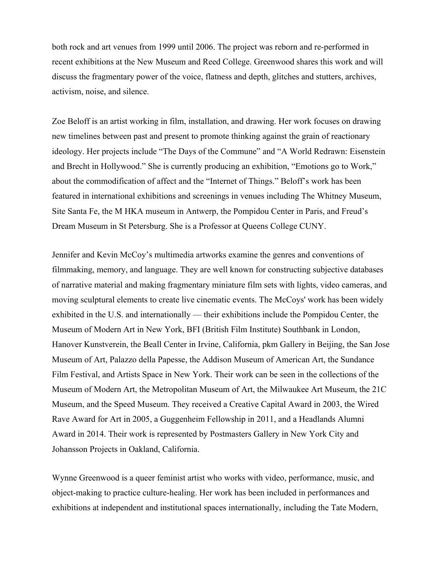both rock and art venues from 1999 until 2006. The project was reborn and re-performed in recent exhibitions at the New Museum and Reed College. Greenwood shares this work and will discuss the fragmentary power of the voice, flatness and depth, glitches and stutters, archives, activism, noise, and silence.

Zoe Beloff is an artist working in film, installation, and drawing. Her work focuses on drawing new timelines between past and present to promote thinking against the grain of reactionary ideology. Her projects include "The Days of the Commune" and "A World Redrawn: Eisenstein and Brecht in Hollywood." She is currently producing an exhibition, "Emotions go to Work," about the commodification of affect and the "Internet of Things." Beloff's work has been featured in international exhibitions and screenings in venues including The Whitney Museum, Site Santa Fe, the M HKA museum in Antwerp, the Pompidou Center in Paris, and Freud's Dream Museum in St Petersburg. She is a Professor at Queens College CUNY.

Jennifer and Kevin McCoy's multimedia artworks examine the genres and conventions of filmmaking, memory, and language. They are well known for constructing subjective databases of narrative material and making fragmentary miniature film sets with lights, video cameras, and moving sculptural elements to create live cinematic events. The McCoys' work has been widely exhibited in the U.S. and internationally — their exhibitions include the Pompidou Center, the Museum of Modern Art in New York, BFI (British Film Institute) Southbank in London, Hanover Kunstverein, the Beall Center in Irvine, California, pkm Gallery in Beijing, the San Jose Museum of Art, Palazzo della Papesse, the Addison Museum of American Art, the Sundance Film Festival, and Artists Space in New York. Their work can be seen in the collections of the Museum of Modern Art, the Metropolitan Museum of Art, the Milwaukee Art Museum, the 21C Museum, and the Speed Museum. They received a Creative Capital Award in 2003, the Wired Rave Award for Art in 2005, a Guggenheim Fellowship in 2011, and a Headlands Alumni Award in 2014. Their work is represented by [Postmasters](https://urldefense.proofpoint.com/v2/url?u=http-3A__www.postmastersart.com_&d=DwMFaQ&c=8v77JlHZOYsReeOxyYXDU39VUUzHxyfBUh7fw_ZfBDA&r=6r4oMiqPwwKYreymyac16Qb_VKR1287SZp2O0oMCobQ&m=B1YcuJRDgo-5qOQHPr5fbu471HlC57g0tvwoY3M7Y44&s=2wl_rCoBOW7Ir7HRbEEzNHGbMKgJp6lgsILxbfJcb3s&e=) Gallery in New York City and [Johansson](https://urldefense.proofpoint.com/v2/url?u=http-3A__johanssonprojects.com_&d=DwMFaQ&c=8v77JlHZOYsReeOxyYXDU39VUUzHxyfBUh7fw_ZfBDA&r=6r4oMiqPwwKYreymyac16Qb_VKR1287SZp2O0oMCobQ&m=B1YcuJRDgo-5qOQHPr5fbu471HlC57g0tvwoY3M7Y44&s=rcYrM1KYzpuKSmcyVjk839Pw2osr9bi_1r_lG9SO7ws&e=) Projects in Oakland, California.

Wynne Greenwood is a queer feminist artist who works with video, performance, music, and object-making to practice culture-healing. Her work has been included in performances and exhibitions at independent and institutional spaces internationally, including the Tate Modern,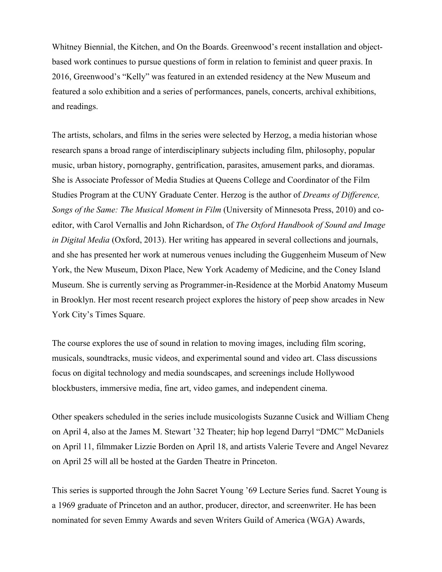Whitney Biennial, the Kitchen, and On the Boards. Greenwood's recent installation and objectbased work continues to pursue questions of form in relation to feminist and queer praxis. In 2016, Greenwood's "Kelly" was featured in an extended residency at the New Museum and featured a solo exhibition and a series of performances, panels, concerts, archival exhibitions, and readings.

The artists, scholars, and films in the series were selected by Herzog, a media historian whose research spans a broad range of interdisciplinary subjects including film, philosophy, popular music, urban history, pornography, gentrification, parasites, amusement parks, and dioramas. She is Associate Professor of Media Studies at Queens College and Coordinator of the Film Studies Program at the CUNY Graduate Center. Herzog is the author of *Dreams of Difference, Songs of the Same: The Musical Moment in Film* (University of Minnesota Press, 2010) and coeditor, with Carol Vernallis and John Richardson, of *The Oxford Handbook of Sound and Image in Digital Media* (Oxford, 2013). Her writing has appeared in several collections and journals, and she has presented her work at numerous venues including the Guggenheim Museum of New York, the New Museum, Dixon Place, New York Academy of Medicine, and the Coney Island Museum. She is currently serving as Programmer-in-Residence at the Morbid Anatomy Museum in Brooklyn. Her most recent research project explores the history of peep show arcades in New York City's Times Square.

The course explores the use of sound in relation to moving images, including film scoring, musicals, soundtracks, music videos, and experimental sound and video art. Class discussions focus on digital technology and media soundscapes, and screenings include Hollywood blockbusters, immersive media, fine art, video games, and independent cinema.

Other speakers scheduled in the series include musicologists Suzanne Cusick and William Cheng on April 4, also at the James M. Stewart '32 Theater; hip hop legend Darryl "DMC" McDaniels on April 11, filmmaker Lizzie Borden on April 18, and artists Valerie Tevere and Angel Nevarez on April 25 will all be hosted at the Garden Theatre in Princeton.

This series is supported through the John Sacret Young '69 Lecture Series fund. Sacret Young is a 1969 graduate of Princeton and an author, producer, director, and screenwriter. He has been nominated for seven Emmy Awards and seven Writers Guild of America (WGA) Awards,